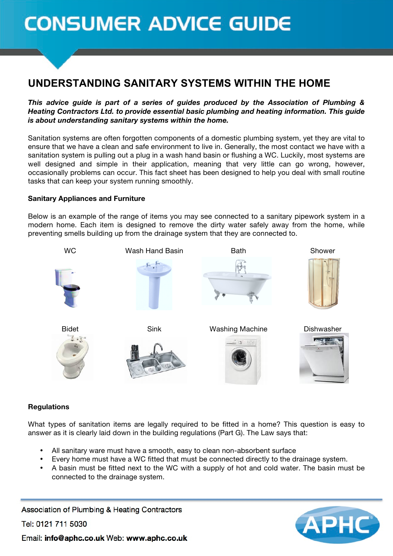# **CONSUMER ADVICE GUIDE**

# **UNDERSTANDING SANITARY SYSTEMS WITHIN THE HOME**

*This advice guide is part of a series of guides produced by the Association of Plumbing & Heating Contractors Ltd. to provide essential basic plumbing and heating information. This guide is about understanding sanitary systems within the home.*

Sanitation systems are often forgotten components of a domestic plumbing system, yet they are vital to ensure that we have a clean and safe environment to live in. Generally, the most contact we have with a sanitation system is pulling out a plug in a wash hand basin or flushing a WC. Luckily, most systems are well designed and simple in their application, meaning that very little can go wrong, however, occasionally problems can occur. This fact sheet has been designed to help you deal with small routine tasks that can keep your system running smoothly.

# **Sanitary Appliances and Furniture**

Below is an example of the range of items you may see connected to a sanitary pipework system in a modern home. Each item is designed to remove the dirty water safely away from the home, while preventing smells building up from the drainage system that they are connected to.



# **Regulations**

What types of sanitation items are legally required to be fitted in a home? This question is easy to answer as it is clearly laid down in the building regulations (Part G). The Law says that:

- All sanitary ware must have a smooth, easy to clean non-absorbent surface
- Every home must have a WC fitted that must be connected directly to the drainage system.
- A basin must be fitted next to the WC with a supply of hot and cold water. The basin must be connected to the drainage system.

Association of Plumbing & Heating Contractors

Tel: 0121 711 5030



Email: info@aphc.co.uk Web: www.aphc.co.uk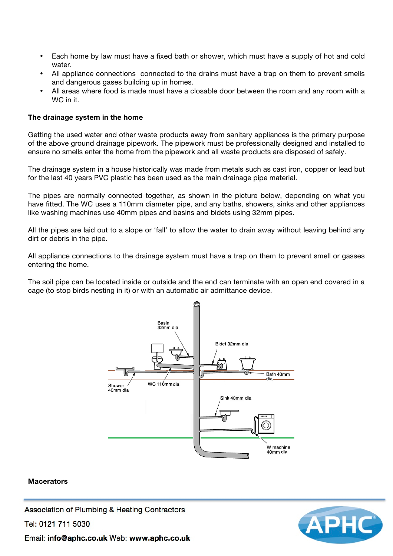- Each home by law must have a fixed bath or shower, which must have a supply of hot and cold water.
- All appliance connections connected to the drains must have a trap on them to prevent smells and dangerous gases building up in homes.
- All areas where food is made must have a closable door between the room and any room with a WC in it.

#### **The drainage system in the home**

Getting the used water and other waste products away from sanitary appliances is the primary purpose of the above ground drainage pipework. The pipework must be professionally designed and installed to ensure no smells enter the home from the pipework and all waste products are disposed of safely.

The drainage system in a house historically was made from metals such as cast iron, copper or lead but for the last 40 years PVC plastic has been used as the main drainage pipe material.

The pipes are normally connected together, as shown in the picture below, depending on what you have fitted. The WC uses a 110mm diameter pipe, and any baths, showers, sinks and other appliances like washing machines use 40mm pipes and basins and bidets using 32mm pipes.

All the pipes are laid out to a slope or 'fall' to allow the water to drain away without leaving behind any dirt or debris in the pipe.

All appliance connections to the drainage system must have a trap on them to prevent smell or gasses entering the home.

The soil pipe can be located inside or outside and the end can terminate with an open end covered in a cage (to stop birds nesting in it) or with an automatic air admittance device.



#### **Macerators**

Association of Plumbing & Heating Contractors

Tel: 0121 711 5030



Email: info@aphc.co.uk Web: www.aphc.co.uk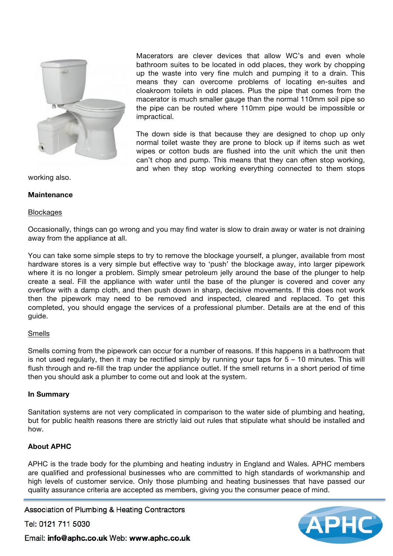

Macerators are clever devices that allow WC's and even whole bathroom suites to be located in odd places, they work by chopping up the waste into very fine mulch and pumping it to a drain. This means they can overcome problems of locating en-suites and cloakroom toilets in odd places. Plus the pipe that comes from the macerator is much smaller gauge than the normal 110mm soil pipe so the pipe can be routed where 110mm pipe would be impossible or impractical.

The down side is that because they are designed to chop up only normal toilet waste they are prone to block up if items such as wet wipes or cotton buds are flushed into the unit which the unit then can't chop and pump. This means that they can often stop working, and when they stop working everything connected to them stops

working also.

#### **Maintenance**

#### **Blockages**

Occasionally, things can go wrong and you may find water is slow to drain away or water is not draining away from the appliance at all.

You can take some simple steps to try to remove the blockage yourself, a plunger, available from most hardware stores is a very simple but effective way to 'push' the blockage away, into larger pipework where it is no longer a problem. Simply smear petroleum jelly around the base of the plunger to help create a seal. Fill the appliance with water until the base of the plunger is covered and cover any overflow with a damp cloth, and then push down in sharp, decisive movements. If this does not work then the pipework may need to be removed and inspected, cleared and replaced. To get this completed, you should engage the services of a professional plumber. Details are at the end of this guide.

#### Smells

Smells coming from the pipework can occur for a number of reasons. If this happens in a bathroom that is not used regularly, then it may be rectified simply by running your taps for  $5 - 10$  minutes. This will flush through and re-fill the trap under the appliance outlet. If the smell returns in a short period of time then you should ask a plumber to come out and look at the system.

# **In Summary**

Sanitation systems are not very complicated in comparison to the water side of plumbing and heating, but for public health reasons there are strictly laid out rules that stipulate what should be installed and how.

# **About APHC**

APHC is the trade body for the plumbing and heating industry in England and Wales. APHC members are qualified and professional businesses who are committed to high standards of workmanship and high levels of customer service. Only those plumbing and heating businesses that have passed our quality assurance criteria are accepted as members, giving you the consumer peace of mind.

Association of Plumbing & Heating Contractors

Tel: 0121 711 5030



Email: info@aphc.co.uk Web: www.aphc.co.uk